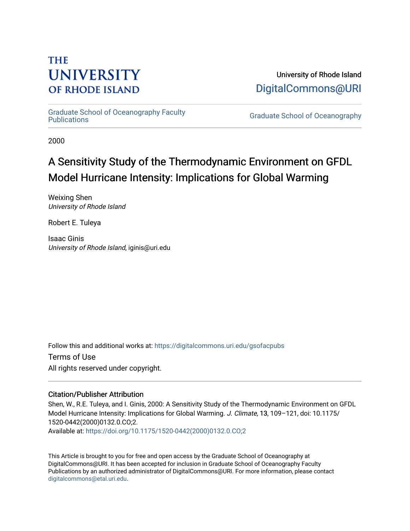# **THE UNIVERSITY OF RHODE ISLAND**

University of Rhode Island [DigitalCommons@URI](https://digitalcommons.uri.edu/) 

[Graduate School of Oceanography Faculty](https://digitalcommons.uri.edu/gsofacpubs) 

**Graduate School of Oceanography** 

2000

# A Sensitivity Study of the Thermodynamic Environment on GFDL Model Hurricane Intensity: Implications for Global Warming

Weixing Shen University of Rhode Island

Robert E. Tuleya

Isaac Ginis University of Rhode Island, iginis@uri.edu

Follow this and additional works at: [https://digitalcommons.uri.edu/gsofacpubs](https://digitalcommons.uri.edu/gsofacpubs?utm_source=digitalcommons.uri.edu%2Fgsofacpubs%2F230&utm_medium=PDF&utm_campaign=PDFCoverPages) 

Terms of Use All rights reserved under copyright.

# Citation/Publisher Attribution

Shen, W., R.E. Tuleya, and I. Ginis, 2000: A Sensitivity Study of the Thermodynamic Environment on GFDL Model Hurricane Intensity: Implications for Global Warming. J. Climate, 13, 109–121, doi: 10.1175/ 1520-0442(2000)0132.0.CO;2. Available at: [https://doi.org/10.1175/1520-0442\(2000\)0132.0.CO;2](https://doi.org/10.1175/1520-0442(2000)0132.0.CO;2) 

This Article is brought to you for free and open access by the Graduate School of Oceanography at DigitalCommons@URI. It has been accepted for inclusion in Graduate School of Oceanography Faculty Publications by an authorized administrator of DigitalCommons@URI. For more information, please contact [digitalcommons@etal.uri.edu](mailto:digitalcommons@etal.uri.edu).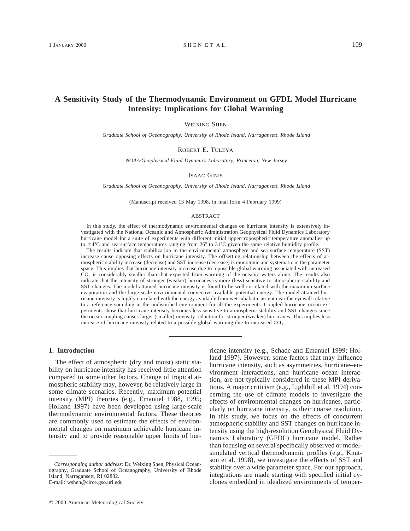# **A Sensitivity Study of the Thermodynamic Environment on GFDL Model Hurricane Intensity: Implications for Global Warming**

WEIXING SHEN

*Graduate School of Oceanography, University of Rhode Island, Narragansett, Rhode Island*

ROBERT E. TULEYA

*NOAA/Geophysical Fluid Dynamics Laboratory, Princeton, New Jersey*

#### ISAAC GINIS

*Graduate School of Oceanography, University of Rhode Island, Narragansett, Rhode Island*

(Manuscript received 13 May 1998, in final form 4 February 1999)

#### ABSTRACT

In this study, the effect of thermodynamic environmental changes on hurricane intensity is extensively investigated with the National Oceanic and Atmospheric Administration Geophysical Fluid Dynamics Laboratory hurricane model for a suite of experiments with different initial upper-tropospheric temperature anomalies up to  $\pm 4$ °C and sea surface temperatures ranging from 26° to 31°C given the same relative humidity profile.

The results indicate that stabilization in the environmental atmosphere and sea surface temperature (SST) increase cause opposing effects on hurricane intensity. The offsetting relationship between the effects of atmospheric stability increase (decrease) and SST increase (decrease) is monotonic and systematic in the parameter space. This implies that hurricane intensity increase due to a possible global warming associated with increased CO<sub>2</sub> is considerably smaller than that expected from warming of the oceanic waters alone. The results also indicate that the intensity of stronger (weaker) hurricanes is more (less) sensitive to atmospheric stability and SST changes. The model-attained hurricane intensity is found to be well correlated with the maximum surface evaporation and the large-scale environmental convective available potential energy. The model-attained hurricane intensity is highly correlated with the energy available from wet-adiabatic ascent near the eyewall relative to a reference sounding in the undisturbed environment for all the experiments. Coupled hurricane–ocean experiments show that hurricane intensity becomes less sensitive to atmospheric stability and SST changes since the ocean coupling causes larger (smaller) intensity reduction for stronger (weaker) hurricanes. This implies less increase of hurricane intensity related to a possible global warming due to increased CO<sub>2</sub>.

# **1. Introduction**

The effect of atmospheric (dry and moist) static stability on hurricane intensity has received little attention compared to some other factors. Change of tropical atmospheric stability may, however, be relatively large in some climate scenarios. Recently, maximum potential intensity (MPI) theories (e.g., Emanuel 1988, 1995; Holland 1997) have been developed using large-scale thermodynamic environmental factors. These theories are commonly used to estimate the effects of environmental changes on maximum achievable hurricane intensity and to provide reasonable upper limits of hurricane intensity (e.g., Schade and Emanuel 1999; Holland 1997). However, some factors that may influence hurricane intensity, such as asymmetries, hurricane–environment interactions, and hurricane–ocean interaction, are not typically considered in these MPI derivations. A major criticism (e.g., Lighthill et al. 1994) concerning the use of climate models to investigate the effects of environmental changes on hurricanes, particularly on hurricane intensity, is their coarse resolution. In this study, we focus on the effects of concurrent atmospheric stability and SST changes on hurricane intensity using the high-resolution Geophysical Fluid Dynamics Laboratory (GFDL) hurricane model. Rather than focusing on several specifically observed or modelsimulated vertical thermodynamic profiles (e.g., Knutson et al. 1998), we investigate the effects of SST and stability over a wide parameter space. For our approach, integrations are made starting with specified initial cyclones embedded in idealized environments of temper-

*Corresponding author address:* Dr. Weixing Shen, Physical Oceanography, Graduate School of Oceanography, University of Rhode Island, Narragansett, RI 02882. E-mail: wshen@circe.gso.uri.edu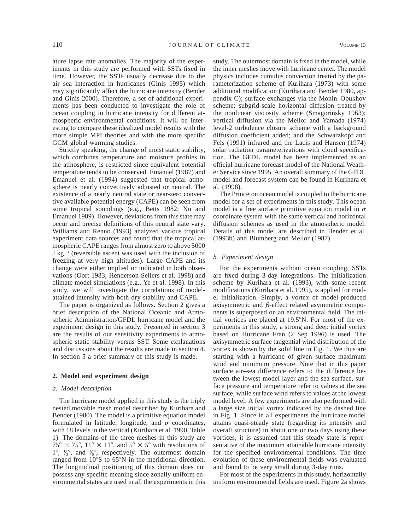ature lapse rate anomalies. The majority of the experiments in this study are performed with SSTs fixed in time. However, the SSTs usually decrease due to the air–sea interaction in hurricanes (Ginis 1995) which may significantly affect the hurricane intensity (Bender and Ginis 2000). Therefore, a set of additional experiments has been conducted to investigate the role of ocean coupling in hurricane intensity for different atmospheric environmental conditions. It will be interesting to compare these idealized model results with the more simple MPI theories and with the more specific GCM global warming studies.

Strictly speaking, the change of moist static stability, which combines temperature and moisture profiles in the atmosphere, is restricted since equivalent potential temperature tends to be conserved. Emanuel (1987) and Emanuel et al. (1994) suggested that tropical atmosphere is nearly convectively adjusted or neutral. The existence of a nearly neutral state or near-zero convective available potential energy (CAPE) can be seen from some tropical soundings (e.g., Betts 1982; Xu and Emanuel 1989). However, deviations from this state may occur and precise definitions of this neutral state vary. Williams and Renno (1993) analyzed various tropical experiment data sources and found that the tropical atmospheric CAPE ranges from almost zero to above 5000  $J kg^{-1}$  (reversible ascent was used with the inclusion of freezing at very high altitudes). Large CAPE and its change were either implied or indicated in both observations (Oort 1983; Henderson-Sellers et al. 1998) and climate model simulations (e.g., Ye et al. 1998). In this study, we will investigate the correlations of modelattained intensity with both dry stability and CAPE.

The paper is organized as follows. Section 2 gives a brief description of the National Oceanic and Atmospheric Administration/GFDL hurricane model and the experiment design in this study. Presented in section 3 are the results of our sensitivity experiments to atmospheric static stability versus SST. Some explanations and discussions about the results are made in section 4. In section 5 a brief summary of this study is made.

# **2. Model and experiment design**

#### *a. Model description*

The hurricane model applied in this study is the triply nested movable mesh model described by Kurihara and Bender (1980). The model is a primitive equation model formulated in latitude, longitude, and  $\sigma$  coordinates, with 18 levels in the vertical (Kurihara et al. 1990, Table 1). The domains of the three meshes in this study are  $75^{\circ} \times 75^{\circ}$ ,  $11^{\circ} \times 11^{\circ}$ , and  $5^{\circ} \times 5^{\circ}$  with resolutions of  $1^\circ$ ,  $\frac{1}{3}^\circ$ , and  $\frac{1}{6}^\circ$ , respectively. The outermost domain **∕ ∕** ranged from  $10^{\circ}$ S to  $65^{\circ}$ N in the meridional direction. The longitudinal positioning of this domain does not possess any specific meaning since zonally uniform environmental states are used in all the experiments in this

study. The outermost domain is fixed in the model, while the inner meshes move with hurricane center. The model physics includes cumulus convection treated by the parameterization scheme of Kurihara (1973) with some additional modification (Kurihara and Bender 1980, appendix C); surface exchanges via the Monin–Obukhov scheme; subgrid-scale horizontal diffusion treated by the nonlinear viscosity scheme (Smagorinsky 1963); vertical diffusion via the Mellor and Yamada (1974) level-2 turbulence closure scheme with a background diffusion coefficient added; and the Schwarzkopf and Fels (1991) infrared and the Lacis and Hansen (1974) solar radiation parameterizations with cloud specification. The GFDL model has been implemented as an official hurricane forecast model of the National Weather Service since 1995. An overall summary of the GFDL model and forecast system can be found in Kurihara et al. (1998).

The Princeton ocean model is coupled to the hurricane model for a set of experiments in this study. This ocean model is a free surface primitive equation model in  $\sigma$ coordinate system with the same vertical and horizontal diffusion schemes as used in the atmospheric model. Details of this model are described in Bender et al. (1993b) and Blumberg and Mellor (1987).

#### *b. Experiment design*

For the experiments without ocean coupling, SSTs are fixed during 3-day integrations. The initialization scheme by Kurihara et al. (1993), with some recent modifications (Kurihara et al. 1995), is applied for model initialization. Simply, a vortex of model-produced axisymmetric and  $\beta$ -effect related asymmetric components is superposed on an environmental field. The initial vortices are placed at  $19.5^{\circ}$ N. For most of the experiments in this study, a strong and deep initial vortex based on Hurricane Fran (2 Sep 1996) is used. The axisymmetric surface tangential wind distribution of the vortex is shown by the solid line in Fig. 1. We thus are starting with a hurricane of given surface maximum wind and minimum pressure. Note that in this paper surface air–sea difference refers to the difference between the lowest model layer and the sea surface, surface pressure and temperature refer to values at the sea surface, while surface wind refers to values at the lowest model level. A few experiments are also performed with a large size initial vortex indicated by the dashed line in Fig. 1. Since in all experiments the hurricane model attains quasi-steady state (regarding its intensity and overall structure) in about one or two days using these vortices, it is assumed that this steady state is representative of the maximum attainable hurricane intensity for the specified environmental conditions. The time evolution of these environmental fields was evaluated and found to be very small during 3-day runs.

For most of the experiments in this study, horizontally uniform environmental fields are used. Figure 2a shows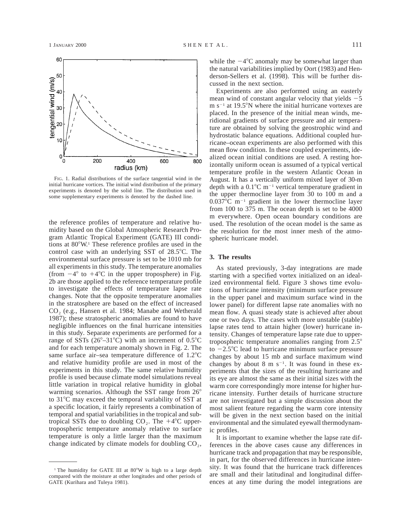

FIG. 1. Radial distributions of the surface tangential wind in the initial hurricane vortices. The initial wind distribution of the primary experiments is denoted by the solid line. The distribution used in some supplementary experiments is denoted by the dashed line.

the reference profiles of temperature and relative humidity based on the Global Atmospheric Research Program Atlantic Tropical Experiment (GATE) III conditions at  $80^{\circ}$ W.<sup>1</sup> These reference profiles are used in the control case with an underlying SST of  $28.5^{\circ}$ C. The environmental surface pressure is set to be 1010 mb for all experiments in this study. The temperature anomalies (from  $-4^{\circ}$  to  $+4^{\circ}$ C in the upper troposphere) in Fig. 2b are those applied to the reference temperature profile to investigate the effects of temperature lapse rate changes. Note that the opposite temperature anomalies in the stratosphere are based on the effect of increased CO<sub>2</sub> (e.g., Hansen et al. 1984; Manabe and Wetherald 1987); these stratospheric anomalies are found to have negligible influences on the final hurricane intensities in this study. Separate experiments are performed for a range of SSTs ( $26^{\circ}$ -31°C) with an increment of 0.5°C and for each temperature anomaly shown in Fig. 2. The same surface air–sea temperature difference of  $1.2^{\circ}$ C and relative humidity profile are used in most of the experiments in this study. The same relative humidity profile is used because climate model simulations reveal little variation in tropical relative humidity in global warming scenarios. Although the SST range from  $26^{\circ}$ to  $31^{\circ}$ C may exceed the temporal variability of SST at a specific location, it fairly represents a combination of temporal and spatial variabilities in the tropical and subtropical SSTs due to doubling  $CO<sub>2</sub>$ . The  $+4^{\circ}C$  uppertropospheric temperature anomaly relative to surface temperature is only a little larger than the maximum change indicated by climate models for doubling  $CO<sub>2</sub>$ , while the  $-4^{\circ}$ C anomaly may be somewhat larger than the natural variabilities implied by Oort (1983) and Henderson-Sellers et al. (1998). This will be further discussed in the next section.

Experiments are also performed using an easterly mean wind of constant angular velocity that yields  $-5$  $m s^{-1}$  at 19.5°N where the initial hurricane vortexes are placed. In the presence of the initial mean winds, meridional gradients of surface pressure and air temperature are obtained by solving the geostrophic wind and hydrostatic balance equations. Additional coupled hurricane–ocean experiments are also performed with this mean flow condition. In these coupled experiments, idealized ocean initial conditions are used. A resting horizontally uniform ocean is assumed of a typical vertical temperature profile in the western Atlantic Ocean in August. It has a vertically uniform mixed layer of 30-m depth with a  $0.1^{\circ}$ C m<sup>-1</sup> vertical temperature gradient in the upper thermocline layer from 30 to 100 m and a  $0.037^{\circ}$ C m<sup>-1</sup> gradient in the lower thermocline layer from 100 to 375 m. The ocean depth is set to be 4000 m everywhere. Open ocean boundary conditions are used. The resolution of the ocean model is the same as the resolution for the most inner mesh of the atmospheric hurricane model.

## **3. The results**

As stated previously, 3-day integrations are made starting with a specified vortex initialized on an idealized environmental field. Figure 3 shows time evolutions of hurricane intensity (minimum surface pressure in the upper panel and maximum surface wind in the lower panel) for different lapse rate anomalies with no mean flow. A quasi steady state is achieved after about one or two days. The cases with more unstable (stable) lapse rates tend to attain higher (lower) hurricane intensity. Changes of temperature lapse rate due to uppertropospheric temperature anomalies ranging from  $2.5^{\circ}$ to  $-2.5^{\circ}$ C lead to hurricane minimum surface pressure changes by about 15 mb and surface maximum wind changes by about 8 m  $s^{-1}$ . It was found in these experiments that the sizes of the resulting hurricane and its eye are almost the same as their initial sizes with the warm core correspondingly more intense for higher hurricane intensity. Further details of hurricane structure are not investigated but a simple discussion about the most salient feature regarding the warm core intensity will be given in the next section based on the initial environmental and the simulated eyewall thermodynamic profiles.

It is important to examine whether the lapse rate differences in the above cases cause any differences in hurricane track and propagation that may be responsible, in part, for the observed differences in hurricane intensity. It was found that the hurricane track differences are small and their latitudinal and longitudinal differences at any time during the model integrations are

<sup>&</sup>lt;sup>1</sup> The humidity for GATE III at  $80^{\circ}W$  is high to a large depth compared with the moisture at other longitudes and other periods of GATE (Kurihara and Tuleya 1981).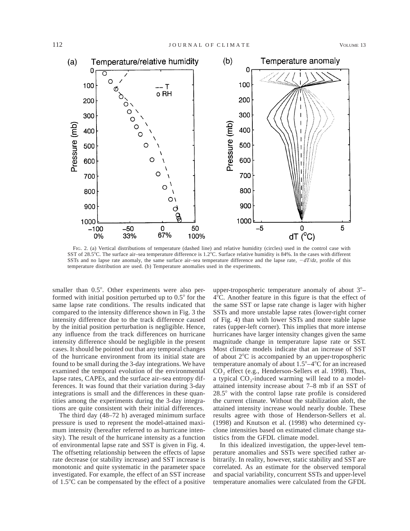

FIG. 2. (a) Vertical distributions of temperature (dashed line) and relative humidity (circles) used in the control case with SST of 28.5°C. The surface air–sea temperature difference is 1.2°C. Surface relative humidity is 84%. In the cases with different SSTs and no lapse rate anomaly, the same surface air–sea temperature difference and the lapse rate,  $-dT/dz$ , profile of this temperature distribution are used. (b) Temperature anomalies used in the experiments.

smaller than  $0.5^{\circ}$ . Other experiments were also performed with initial position perturbed up to  $0.5^{\circ}$  for the same lapse rate conditions. The results indicated that compared to the intensity difference shown in Fig. 3 the intensity difference due to the track difference caused by the initial position perturbation is negligible. Hence, any influence from the track differences on hurricane intensity difference should be negligible in the present cases. It should be pointed out that any temporal changes of the hurricane environment from its initial state are found to be small during the 3-day integrations. We have examined the temporal evolution of the environmental lapse rates, CAPEs, and the surface air–sea entropy differences. It was found that their variation during 3-day integrations is small and the differences in these quantities among the experiments during the 3-day integrations are quite consistent with their initial differences.

The third day (48–72 h) averaged minimum surface pressure is used to represent the model-attained maximum intensity (hereafter referred to as hurricane intensity). The result of the hurricane intensity as a function of environmental lapse rate and SST is given in Fig. 4. The offsetting relationship between the effects of lapse rate decrease (or stability increase) and SST increase is monotonic and quite systematic in the parameter space investigated. For example, the effect of an SST increase of  $1.5^{\circ}$ C can be compensated by the effect of a positive

upper-tropospheric temperature anomaly of about  $3^\circ$ - $4^{\circ}$ C. Another feature in this figure is that the effect of the same SST or lapse rate change is lager with higher SSTs and more unstable lapse rates (lower-right corner of Fig. 4) than with lower SSTs and more stable lapse rates (upper-left corner). This implies that more intense hurricanes have larger intensity changes given the same magnitude change in temperature lapse rate or SST. Most climate models indicate that an increase of SST of about  $2^{\circ}$ C is accompanied by an upper-tropospheric temperature anomaly of about  $1.5^{\circ} - 4^{\circ}C$  for an increased CO<sub>2</sub> effect (e.g., Henderson-Sellers et al. 1998). Thus, a typical  $CO_2$ -induced warming will lead to a modelattained intensity increase about 7–8 mb if an SST of  $28.5^\circ$  with the control lapse rate profile is considered the current climate. Without the stabilization aloft, the attained intensity increase would nearly double. These results agree with those of Henderson-Sellers et al. (1998) and Knutson et al. (1998) who determined cyclone intensities based on estimated climate change statistics from the GFDL climate model.

In this idealized investigation, the upper-level temperature anomalies and SSTs were specified rather arbitrarily. In reality, however, static stability and SST are correlated. As an estimate for the observed temporal and spacial variability, concurrent SSTs and upper-level temperature anomalies were calculated from the GFDL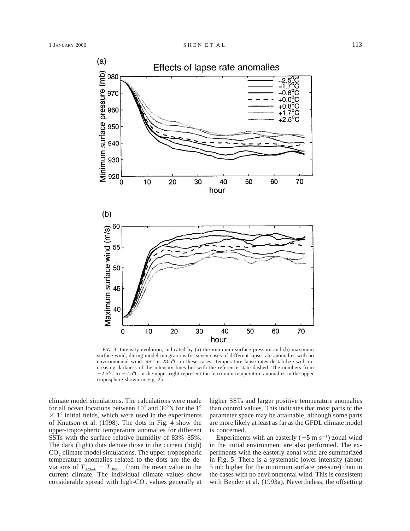

FIG. 3. Intensity evolution, indicated by (a) the minimum surface pressure and (b) maximum surface wind, during model integrations for seven cases of different lapse rate anomalies with no environmental wind. SST is  $28.5^{\circ}\text{C}$  in these cases. Temperature lapse rates destabilize with increasing darkness of the intensity lines but with the reference state dashed. The numbers from  $-2.5^{\circ}\text{C}$  to  $+2.5^{\circ}\text{C}$  in the upper right represent the maximum temperature anomalies in the upper troposphere shown in Fig. 2b.

40

hour

50

60

70

30

climate model simulations. The calculations were made for all ocean locations between  $10^{\circ}$  and  $30^{\circ}$ N for the 1<sup>°</sup>  $\times$  1° initial fields, which were used in the experiments of Knutson et al. (1998). The dots in Fig. 4 show the upper-tropospheric temperature anomalies for different SSTs with the surface relative humidity of 83%–85%. The dark (light) dots denote those in the current (high)  $CO<sub>2</sub>$  climate model simulations. The upper-tropospheric temperature anomalies related to the dots are the deviations of  $T_{\text{320mb}} - T_{\text{1000mb}}$  from the mean value in the current climate. The individual climate values show considerable spread with high- $CO<sub>2</sub>$  values generally at

 $\mathbf 0$ 

 $10$ 

20

higher SSTs and larger positive temperature anomalies than control values. This indicates that most parts of the parameter space may be attainable, although some parts are more likely at least as far as the GFDL climate model is concerned.

Experiments with an easterly  $(-5 \text{ m s}^{-1})$  zonal wind in the initial environment are also performed. The experiments with the easterly zonal wind are summarized in Fig. 5. There is a systematic lower intensity (about 5 mb higher for the minimum surface pressure) than in the cases with no environmental wind. This is consistent with Bender et al. (1993a). Nevertheless, the offsetting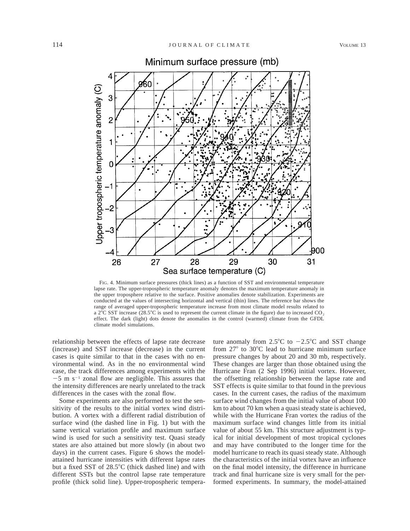

Minimum surface pressure (mb)

FIG. 4. Minimum surface pressures (thick lines) as a function of SST and environmental temperature lapse rate. The upper-tropospheric temperature anomaly denotes the maximum temperature anomaly in the upper troposphere relative to the surface. Positive anomalies denote stabilization. Experiments are conducted at the values of intersecting horizontal and vertical (thin) lines. The reference bar shows the range of averaged upper-tropospheric temperature increase from most climate model results related to a 2 $\degree$ C SST increase (28.5 $\degree$ C is used to represent the current climate in the figure) due to increased CO<sub>2</sub> effect. The dark (light) dots denote the anomalies in the control (warmed) climate from the GFDL climate model simulations.

relationship between the effects of lapse rate decrease (increase) and SST increase (decrease) in the current cases is quite similar to that in the cases with no environmental wind. As in the no environmental wind case, the track differences among experiments with the  $-5$  m s<sup>-1</sup> zonal flow are negligible. This assures that the intensity differences are nearly unrelated to the track differences in the cases with the zonal flow.

Some experiments are also performed to test the sensitivity of the results to the initial vortex wind distribution. A vortex with a different radial distribution of surface wind (the dashed line in Fig. 1) but with the same vertical variation profile and maximum surface wind is used for such a sensitivity test. Quasi steady states are also attained but more slowly (in about two days) in the current cases. Figure 6 shows the modelattained hurricane intensities with different lapse rates but a fixed SST of  $28.5^{\circ}$ C (thick dashed line) and with different SSTs but the control lapse rate temperature profile (thick solid line). Upper-tropospheric tempera-

ture anomaly from  $2.5^{\circ}$ C to  $-2.5^{\circ}$ C and SST change from  $27^{\circ}$  to  $30^{\circ}$ C lead to hurricane minimum surface pressure changes by about 20 and 30 mb, respectively. These changes are larger than those obtained using the Hurricane Fran (2 Sep 1996) initial vortex. However, the offsetting relationship between the lapse rate and SST effects is quite similar to that found in the previous cases. In the current cases, the radius of the maximum surface wind changes from the initial value of about 100 km to about 70 km when a quasi steady state is achieved, while with the Hurricane Fran vortex the radius of the maximum surface wind changes little from its initial value of about 55 km. This structure adjustment is typical for initial development of most tropical cyclones and may have contributed to the longer time for the model hurricane to reach its quasi steady state. Although the characteristics of the initial vortex have an influence on the final model intensity, the difference in hurricane track and final hurricane size is very small for the performed experiments. In summary, the model-attained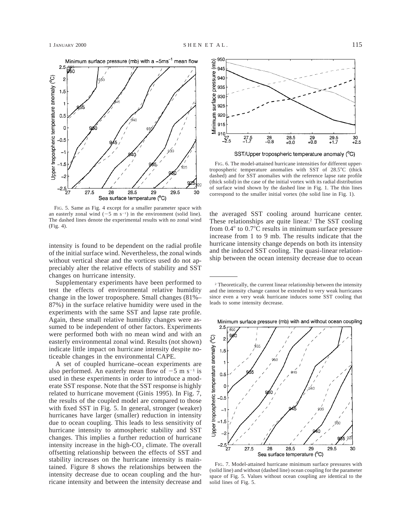

FIG. 5. Same as Fig. 4 except for a smaller parameter space with an easterly zonal wind  $(-5 \text{ m/s}^{-1})$  in the environment (solid line). The dashed lines denote the experimental results with no zonal wind (Fig. 4).

intensity is found to be dependent on the radial profile of the initial surface wind. Nevertheless, the zonal winds without vertical shear and the vortices used do not appreciably alter the relative effects of stability and SST changes on hurricane intensity.

Supplementary experiments have been performed to test the effects of environmental relative humidity change in the lower troposphere. Small changes (81%– 87%) in the surface relative humidity were used in the experiments with the same SST and lapse rate profile. Again, these small relative humidity changes were assumed to be independent of other factors. Experiments were performed both with no mean wind and with an easterly environmental zonal wind. Results (not shown) indicate little impact on hurricane intensity despite noticeable changes in the environmental CAPE.

A set of coupled hurricane–ocean experiments are also performed. An easterly mean flow of  $-5$  m s<sup>-1</sup> is used in these experiments in order to introduce a moderate SST response. Note that the SST response is highly related to hurricane movement (Ginis 1995). In Fig. 7, the results of the coupled model are compared to those with fixed SST in Fig. 5. In general, stronger (weaker) hurricanes have larger (smaller) reduction in intensity due to ocean coupling. This leads to less sensitivity of hurricane intensity to atmospheric stability and SST changes. This implies a further reduction of hurricane intensity increase in the high- $CO<sub>2</sub>$  climate. The overall offsetting relationship between the effects of SST and stability increases on the hurricane intensity is maintained. Figure 8 shows the relationships between the intensity decrease due to ocean coupling and the hurricane intensity and between the intensity decrease and





FIG. 6. The model-attained hurricane intensities for different uppertropospheric temperature anomalies with SST of  $28.5^{\circ}C$  (thick dashed) and for SST anomalies with the reference lapse rate profile (thick solid) in the case of the initial vortex with its radial distribution of surface wind shown by the dashed line in Fig. 1. The thin lines correspond to the smaller initial vortex (the solid line in Fig. 1).

the averaged SST cooling around hurricane center. These relationships are quite linear.<sup>2</sup> The SST cooling from  $0.4^{\circ}$  to  $0.7^{\circ}$ C results in minimum surface pressure increase from 1 to 9 mb. The results indicate that the hurricane intensity change depends on both its intensity and the induced SST cooling. The quasi-linear relationship between the ocean intensity decrease due to ocean

<sup>2</sup> Theoretically, the current linear relationship between the intensity and the intensity change cannot be extended to very weak hurricanes since even a very weak hurricane induces some SST cooling that leads to some intensity decrease.

Minimum surface pressure (mb) with and without ocean coupling



FIG. 7. Model-attained hurricane minimum surface pressures with (solid line) and without (dashed line) ocean coupling for the parameter space of Fig. 5. Values without ocean coupling are identical to the solid lines of Fig. 5.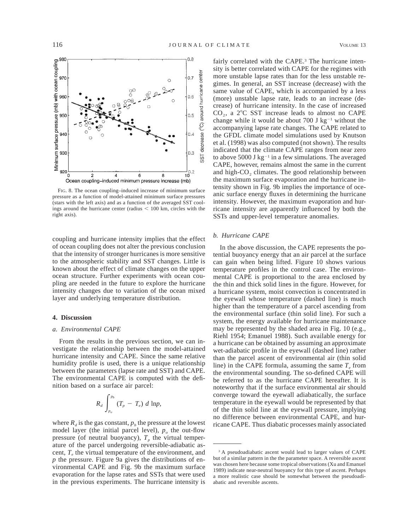

FIG. 8. The ocean coupling–induced increase of minimum surface pressure as a function of model-attained minimum surface pressures (stars with the left axis) and as a function of the averaged SST coolings around the hurricane center (radius  $< 100$  km, circles with the right axis).

coupling and hurricane intensity implies that the effect of ocean coupling does not alter the previous conclusion that the intensity of stronger hurricanes is more sensitive to the atmospheric stability and SST changes. Little is known about the effect of climate changes on the upper ocean structure. Further experiments with ocean coupling are needed in the future to explore the hurricane intensity changes due to variation of the ocean mixed layer and underlying temperature distribution.

# **4. Discussion**

### *a. Environmental CAPE*

From the results in the previous section, we can investigate the relationship between the model-attained hurricane intensity and CAPE. Since the same relative humidity profile is used, there is a unique relationship between the parameters (lapse rate and SST) and CAPE. The environmental CAPE is computed with the definition based on a surface air parcel:

$$
R_d \int_{p_o}^{p_b} (T_p - T_e) d \ln p,
$$

where  $R_d$  is the gas constant,  $p_b$  the pressure at the lowest model layer (the initial parcel level),  $p<sub>o</sub>$  the out-flow pressure (of neutral buoyancy),  $T_p$  the virtual temperature of the parcel undergoing reversible-adiabatic ascent,  $T_e$  the virtual temperature of the environment, and *p* the pressure. Figure 9a gives the distributions of environmental CAPE and Fig. 9b the maximum surface evaporation for the lapse rates and SSTs that were used in the previous experiments. The hurricane intensity is

fairly correlated with the CAPE.<sup>3</sup> The hurricane intensity is better correlated with CAPE for the regimes with more unstable lapse rates than for the less unstable regimes. In general, an SST increase (decrease) with the same value of CAPE, which is accompanied by a less (more) unstable lapse rate, leads to an increase (decrease) of hurricane intensity. In the case of increased  $CO<sub>2</sub>$ , a 2<sup>o</sup>C SST increase leads to almost no CAPE change while it would be about 700 J  $kg^{-1}$  without the accompanying lapse rate changes. The CAPE related to the GFDL climate model simulations used by Knutson et al. (1998) was also computed (not shown). The results indicated that the climate CAPE ranges from near zero to above 5000 J  $kg^{-1}$  in a few simulations. The averaged CAPE, however, remains almost the same in the current and high- $CO<sub>2</sub>$  climates. The good relationship between the maximum surface evaporation and the hurricane intensity shown in Fig. 9b implies the importance of oceanic surface energy fluxes in determining the hurricane intensity. However, the maximum evaporation and hurricane intensity are apparently influenced by both the SSTs and upper-level temperature anomalies.

## *b. Hurricane CAPE*

In the above discussion, the CAPE represents the potential buoyancy energy that an air parcel at the surface can gain when being lifted. Figure 10 shows various temperature profiles in the control case. The environmental CAPE is proportional to the area enclosed by the thin and thick solid lines in the figure. However, for a hurricane system, moist convection is concentrated in the eyewall whose temperature (dashed line) is much higher than the temperature of a parcel ascending from the environmental surface (thin solid line). For such a system, the energy available for hurricane maintenance may be represented by the shaded area in Fig. 10 (e.g., Riehl 1954; Emanuel 1988). Such available energy for a hurricane can be obtained by assuming an approximate wet-adiabatic profile in the eyewall (dashed line) rather than the parcel ascent of environmental air (thin solid line) in the CAPE formula, assuming the same  $T_e$  from the environmental sounding. The so-defined CAPE will be referred to as the hurricane CAPE hereafter. It is noteworthy that if the surface environmental air should converge toward the eyewall adiabatically, the surface temperature in the eyewall would be represented by that of the thin solid line at the eyewall pressure, implying no difference between environmental CAPE, and hurricane CAPE. Thus diabatic processes mainly associated

<sup>&</sup>lt;sup>3</sup> A pseudoadiabatic ascent would lead to larger values of CAPE but of a similar pattern in the the parameter space. A reversible ascent was chosen here because some tropical observations (Xu and Emanuel 1989) indicate near-neutral buoyancy for this type of ascent. Perhaps a more realistic case should be somewhat between the pseudoadiabatic and reversible ascents.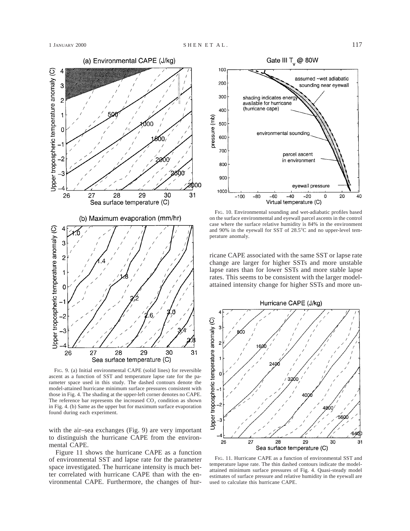

FIG. 9. (a) Initial environmental CAPE (solid lines) for reversible ascent as a function of SST and temperature lapse rate for the parameter space used in this study. The dashed contours denote the model-attained hurricane minimum surface pressures consistent with those in Fig. 4. The shading at the upper-left corner denotes no CAPE. The reference bar represents the increased CO<sub>2</sub> condition as shown in Fig. 4. (b) Same as the upper but for maximum surface evaporation found during each experiment.

with the air–sea exchanges (Fig. 9) are very important to distinguish the hurricane CAPE from the environmental CAPE.

Figure 11 shows the hurricane CAPE as a function of environmental SST and lapse rate for the parameter space investigated. The hurricane intensity is much better correlated with hurricane CAPE than with the environmental CAPE. Furthermore, the changes of hur-



FIG. 10. Environmental sounding and wet-adiabatic profiles based on the surface environmental and eyewall parcel ascents in the control case where the surface relative humidity is 84% in the environment and 90% in the eyewall for SST of  $28.5^{\circ}$ C and no upper-level temperature anomaly.

ricane CAPE associated with the same SST or lapse rate change are larger for higher SSTs and more unstable lapse rates than for lower SSTs and more stable lapse rates. This seems to be consistent with the larger modelattained intensity change for higher SSTs and more un-



FIG. 11. Hurricane CAPE as a function of environmental SST and temperature lapse rate. The thin dashed contours indicate the modelattained minimum surface pressures of Fig. 4. Quasi-steady model estimates of surface pressure and relative humidity in the eyewall are used to calculate this hurricane CAPE.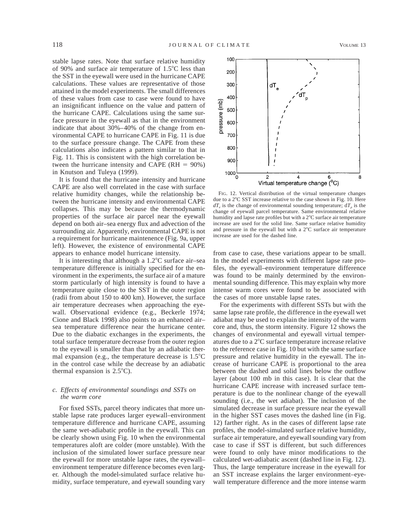stable lapse rates. Note that surface relative humidity of 90% and surface air temperature of  $1.5^{\circ}$ C less than the SST in the eyewall were used in the hurricane CAPE calculations. These values are representative of those attained in the model experiments. The small differences of these values from case to case were found to have an insignificant influence on the value and pattern of the hurricane CAPE. Calculations using the same surface pressure in the eyewall as that in the environment indicate that about 30%–40% of the change from environmental CAPE to hurricane CAPE in Fig. 11 is due to the surface pressure change. The CAPE from these calculations also indicates a pattern similar to that in Fig. 11. This is consistent with the high correlation between the hurricane intensity and CAPE ( $RH = 90\%$ ) in Knutson and Tuleya (1999).

It is found that the hurricane intensity and hurricane CAPE are also well correlated in the case with surface relative humidity changes, while the relationship between the hurricane intensity and environmental CAPE collapses. This may be because the thermodynamic properties of the surface air parcel near the eyewall depend on both air–sea energy flux and advection of the surrounding air. Apparently, environmental CAPE is not a requirement for hurricane maintenence (Fig. 9a, upper left). However, the existence of environmental CAPE appears to enhance model hurricane intensity.

It is interesting that although a  $1.2^{\circ}$ C surface air–sea temperature difference is initially specified for the environment in the experiments, the surface air of a mature storm particularly of high intensity is found to have a temperature quite close to the SST in the outer region (radii from about 150 to 400 km). However, the surface air temperature decreases when approaching the eyewall. Observational evidence (e.g., Beckerle 1974; Cione and Black 1998) also points to an enhanced air– sea temperature difference near the hurricane center. Due to the diabatic exchanges in the experiments, the total surface temperature decrease from the outer region to the eyewall is smaller than that by an adiabatic thermal expansion (e.g., the temperature decrease is  $1.5^{\circ}$ C in the control case while the decrease by an adiabatic thermal expansion is  $2.5^{\circ}$ C).

# *c. Effects of environmental soundings and SSTs on the warm core*

For fixed SSTs, parcel theory indicates that more unstable lapse rate produces larger eyewall–environment temperature difference and hurricane CAPE, assuming the same wet-adiabatic profile in the eyewall. This can be clearly shown using Fig. 10 when the environmental temperatures aloft are colder (more unstable). With the inclusion of the simulated lower surface pressure near the eyewall for more unstable lapse rates, the eyewall– environment temperature difference becomes even larger. Although the model-simulated surface relative humidity, surface temperature, and eyewall sounding vary



FIG. 12. Vertical distribution of the virtual temperature changes due to a  $2^{\circ}$ C SST increase relative to the case shown in Fig. 10. Here  $dT_e$  is the change of environmental sounding temperature;  $dT_p$  is the change of eyewall parcel temperature. Same environmental relative humidity and lapse rate profiles but with a 2°C surface air temperature increase are used for the solid line. Same surface relative humidity and pressure in the eyewall but with a  $2^{\circ}$ C surface air temperature increase are used for the dashed line.

from case to case, these variations appear to be small. In the model experiments with different lapse rate profiles, the eyewall–environment temperature difference was found to be mainly determined by the environmental sounding difference. This may explain why more intense warm cores were found to be associated with the cases of more unstable lapse rates.

For the experiments with different SSTs but with the same lapse rate profile, the difference in the eyewall wet adiabat may be used to explain the intensity of the warm core and, thus, the storm intensity. Figure 12 shows the changes of environmental and eyewall virtual temperatures due to a  $2^{\circ}$ C surface temperature increase relative to the reference case in Fig. 10 but with the same surface pressure and relative humidity in the eyewall. The increase of hurricane CAPE is proportional to the area between the dashed and solid lines below the outflow layer (about 100 mb in this case). It is clear that the hurricane CAPE increase with increased surface temperature is due to the nonlinear change of the eyewall sounding (i.e., the wet adiabat). The inclusion of the simulated decrease in surface pressure near the eyewall in the higher SST cases moves the dashed line (in Fig. 12) farther right. As in the cases of different lapse rate profiles, the model-simulated surface relative humidity, surface air temperature, and eyewall sounding vary from case to case if SST is different, but such differences were found to only have minor modifications to the calculated wet-adiabatic ascent (dashed line in Fig. 12). Thus, the large temperature increase in the eyewall for an SST increase explains the larger environment–eyewall temperature difference and the more intense warm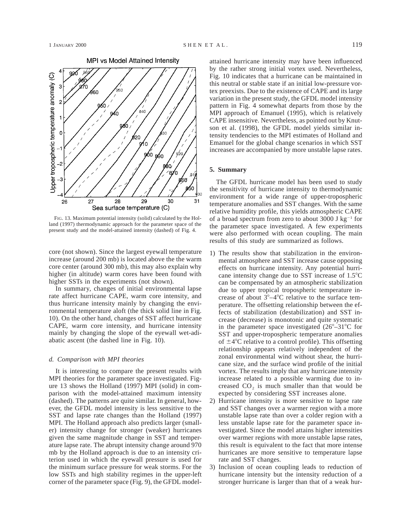

FIG. 13. Maximum potential intensity (solid) calculated by the Holland (1997) thermodynamic approach for the parameter space of the present study and the model-attained intensity (dashed) of Fig. 4.

core (not shown). Since the largest eyewall temperature increase (around 200 mb) is located above the the warm core center (around 300 mb), this may also explain why higher (in altitude) warm cores have been found with higher SSTs in the experiments (not shown).

In summary, changes of initial environmental lapse rate affect hurricane CAPE, warm core intensity, and thus hurricane intensity mainly by changing the environmental temperature aloft (the thick solid line in Fig. 10). On the other hand, changes of SST affect hurricane CAPE, warm core intensity, and hurricane intensity mainly by changing the slope of the eyewall wet-adiabatic ascent (the dashed line in Fig. 10).

# *d. Comparison with MPI theories*

It is interesting to compare the present results with MPI theories for the parameter space investigated. Figure 13 shows the Holland (1997) MPI (solid) in comparison with the model-attained maximum intensity (dashed). The patterns are quite similar. In general, however, the GFDL model intensity is less sensitive to the SST and lapse rate changes than the Holland (1997) MPI. The Holland approach also predicts larger (smaller) intensity change for stronger (weaker) hurricanes given the same magnitude change in SST and temperature lapse rate. The abrupt intensity change around 970 mb by the Holland approach is due to an intensity criterion used in which the eyewall pressure is used for the minimum surface pressure for weak storms. For the low SSTs and high stability regimes in the upper-left corner of the parameter space (Fig. 9), the GFDL modelattained hurricane intensity may have been influenced by the rather strong initial vortex used. Nevertheless, Fig. 10 indicates that a hurricane can be maintained in this neutral or stable state if an initial low-pressure vortex preexists. Due to the existence of CAPE and its large variation in the present study, the GFDL model intensity pattern in Fig. 4 somewhat departs from those by the MPI approach of Emanuel (1995), which is relatively CAPE insensitive. Nevertheless, as pointed out by Knutson et al. (1998), the GFDL model yields similar intensity tendencies to the MPI estimates of Holland and Emanuel for the global change scenarios in which SST increases are accompanied by more unstable lapse rates.

# **5. Summary**

The GFDL hurricane model has been used to study the sensitivity of hurricane intensity to thermodynamic environment for a wide range of upper-tropospheric temperature anomalies and SST changes. With the same relative humidity profile, this yields atmospheric CAPE of a broad spectrum from zero to about 3000 J kg<sup>-1</sup> for the parameter space investigated. A few experiments were also performed with ocean coupling. The main results of this study are summarized as follows.

- 1) The results show that stabilization in the environmental atmosphere and SST increase cause opposing effects on hurricane intensity. Any potential hurricane intensity change due to SST increase of  $1.5^{\circ}$ C can be compensated by an atmospheric stabilization due to upper tropical tropospheric temperature increase of about  $3^{\circ}-4^{\circ}$ C relative to the surface temperature. The offsetting relationship between the effects of stabilization (destabilization) and SST increase (decrease) is monotonic and quite systematic in the parameter space investigated  $(26^{\circ}-31^{\circ}C)$  for SST and upper-tropospheric temperature anomalies of  $\pm 4^{\circ}$ C relative to a control profile). This offsetting relationship appears relatively independent of the zonal environmental wind without shear, the hurricane size, and the surface wind profile of the initial vortex. The results imply that any hurricane intensity increase related to a possible warming due to increased  $CO<sub>2</sub>$  is much smaller than that would be expected by considering SST increases alone.
- 2) Hurricane intensity is more sensitive to lapse rate and SST changes over a warmer region with a more unstable lapse rate than over a colder region with a less unstable lapse rate for the parameter space investigated. Since the model attains higher intensities over warmer regions with more unstable lapse rates, this result is equivalent to the fact that more intense hurricanes are more sensitive to temperature lapse rate and SST changes.
- 3) Inclusion of ocean coupling leads to reduction of hurricane intensity but the intensity reduction of a stronger hurricane is larger than that of a weak hur-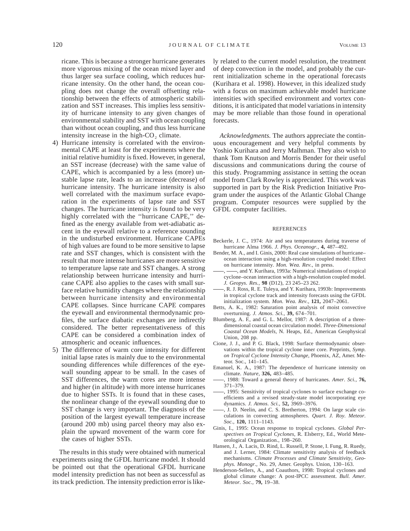ricane. This is because a stronger hurricane generates more vigorous mixing of the ocean mixed layer and thus larger sea surface cooling, which reduces hurricane intensity. On the other hand, the ocean coupling does not change the overall offsetting relationship between the effects of atmospheric stabilization and SST increases. This implies less sensitivity of hurricane intensity to any given changes of environmental stability and SST with ocean coupling than without ocean coupling, and thus less hurricane intensity increase in the high- $CO<sub>2</sub>$  climate.

- 4) Hurricane intensity is correlated with the environmental CAPE at least for the experiments where the initial relative humidity is fixed. However, in general, an SST increase (decrease) with the same value of CAPE, which is accompanied by a less (more) unstable lapse rate, leads to an increase (decrease) of hurricane intensity. The hurricane intensity is also well correlated with the maximum surface evaporation in the experiments of lapse rate and SST changes. The hurricane intensity is found to be very highly correlated with the ''hurricane CAPE,'' defined as the energy available from wet-adiabatic ascent in the eyewall relative to a reference sounding in the undisturbed environment. Hurricane CAPEs of high values are found to be more sensitive to lapse rate and SST changes, which is consistent with the result that more intense hurricanes are more sensitive to temperature lapse rate and SST changes. A strong relationship between hurricane intensity and hurricane CAPE also applies to the cases with small surface relative humidity changes where the relationship between hurricane intensity and environmental CAPE collapses. Since hurricane CAPE compares the eyewall and environmental thermodynamic profiles, the surface diabatic exchanges are indirectly considered. The better representativeness of this CAPE can be considered a combination index of atmospheric and oceanic influences.
- 5) The difference of warm core intensity for different initial lapse rates is mainly due to the environmental sounding differences while differences of the eyewall sounding appear to be small. In the cases of SST differences, the warm cores are more intense and higher (in altitude) with more intense hurricanes due to higher SSTs. It is found that in these cases, the nonlinear change of the eyewall sounding due to SST change is very important. The diagnosis of the position of the largest eyewall temperature increase (around 200 mb) using parcel theory may also explain the upward movement of the warm core for the cases of higher SSTs.

The results in this study were obtained with numerical experiments using the GFDL hurricane model. It should be pointed out that the operational GFDL hurricane model intensity prediction has not been as successful as its track prediction. The intensity prediction error is likely related to the current model resolution, the treatment of deep convection in the model, and probably the current initialization scheme in the operational forecasts (Kurihara et al. 1998). However, in this idealized study with a focus on maximum achievable model hurricane intensities with specified environment and vortex conditions, it is anticipated that model variations in intensity may be more reliable than those found in operational forecasts.

*Acknowledgments.* The authors appreciate the continuous encouragement and very helpful comments by Yoshio Kurihara and Jerry Malhman. They also wish to thank Tom Knutson and Morris Bender for their useful discussions and communications during the course of this study. Programming assistance in setting the ocean model from Clark Rowley is appreciated. This work was supported in part by the Risk Prediction Initiative Program under the auspices of the Atlantic Global Change program. Computer resources were supplied by the GFDL computer facilities.

#### REFERENCES

- Beckerle, J. C., 1974: Air and sea temperatures during traverse of hurricane Alma 1966. *J. Phys. Oceanogr.,* **4,** 487–492.
- Bender, M. A., and I. Ginis, 2000: Real case simulations of hurricane– ocean interaction using a high-resolution coupled model: Effect on hurricane intensity. *Mon. Wea. Rev.,* in press.
- -, and Y. Kurihara, 1993a: Numerical simulations of tropical cyclone–ocean interaction with a high-resolution coupled model. *J. Geopys. Res.,* **98** (D12), 23 245–23 262.
- , R. J. Ross, R. E. Tuleya, and Y. Kurihara, 1993b: Improvements in tropical cyclone track and intensity forecasts using the GFDL initialization system. *Mon. Wea. Rev.,* **121,** 2047–2061.
- Betts, A. K., 1982: Saturation point analysis of moist convective overturning. *J. Atmos. Sci.,* **39,** 674–701.
- Blumberg, A. F., and G. L. Mellor, 1987: A description of a threedimensional coastal ocean circulation model. *Three-Dimensional Coastal Ocean Models,* N. Heaps, Ed., American Geophysical Union, 208 pp.
- Cione, J. J., and P. G. Black, 1998: Surface thermodynamic observations within the tropical cyclone inner core. Preprints, *Symp. on Tropical Cyclone Intensity Change,* Phoenix, AZ, Amer. Meteor. Soc., 141–145.
- Emanuel, K. A., 1987: The dependence of hurricane intensity on climate. *Nature,* **326,** 483–485.
- , 1988: Toward a general theory of hurricanes. *Amer. Sci.,* **76,** 371–379.
- , 1995: Sensitivity of tropical cyclones to surface exchange coefficients and a revised steady-state model incorporating eye dynamics. *J. Atmos. Sci.,* **52,** 3969–3976.
- , J. D. Neelin, and C. S. Bretherton, 1994: On large scale circulations in convecting atmospheres. *Quart. J. Roy. Meteor. Soc.,* **120,** 1111–1143.
- Ginis, I., 1995: Ocean response to tropical cyclones. *Global Perspectives on Tropical Cyclones,* R. Elsberry, Ed., World Meteorological Organization., 198–260.
- Hansen, J., A. Lacis, D. Rind, L. Russell, P. Stone, I. Fung, R. Ruedy, and J. Lerner, 1984: Climate sensitivity analysis of feedback mechanisms. *Climate Processes and Climate Sensitivity, Geophys. Monogr.,* No. 29, Amer. Geophys. Union, 130–163.
- Henderson-Sellers, A., and Coauthors, 1998: Tropical cyclones and global climate change: A post-IPCC assessment. *Bull. Amer. Meteor. Soc.,* **79,** 19–38.